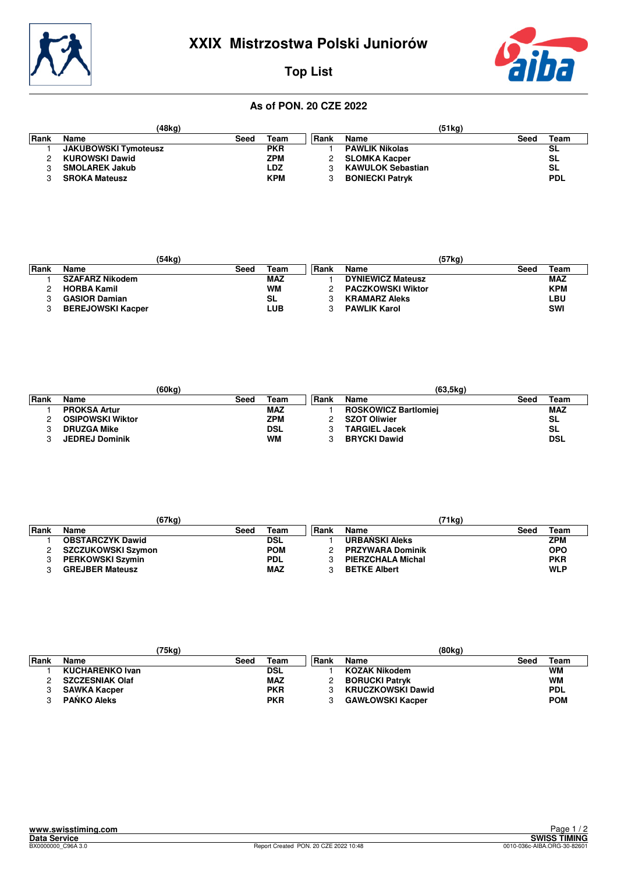



## **Top List**

### **As of PON. 20 CZE 2022**

| (48kg) |                             |      |            | (51kg) |                          |      |            |  |
|--------|-----------------------------|------|------------|--------|--------------------------|------|------------|--|
| Rank   | Name                        | Seed | Team       | l Rank | Name                     | Seed | Team       |  |
|        | <b>JAKUBOWSKI Tymoteusz</b> |      | <b>PKR</b> |        | <b>PAWLIK Nikolas</b>    |      | SL         |  |
|        | <b>KUROWSKI Dawid</b>       |      | ZPM        |        | <b>SLOMKA Kacper</b>     |      | <b>SL</b>  |  |
|        | <b>SMOLAREK Jakub</b>       |      | LDZ        |        | <b>KAWULOK Sebastian</b> |      | <b>SL</b>  |  |
|        | <b>SROKA Mateusz</b>        |      | <b>KPM</b> |        | <b>BONIECKI Patryk</b>   |      | <b>PDL</b> |  |

|       |                          | (54kg) |            |       |                          | (57kg) |            |
|-------|--------------------------|--------|------------|-------|--------------------------|--------|------------|
| ∣Rank | Name                     | Seed   | $\tau$ eam | ∣Rank | Name                     | Seed   | Team       |
|       | <b>SZAFARZ Nikodem</b>   |        | MAZ        |       | <b>DYNIEWICZ Mateusz</b> |        | <b>MAZ</b> |
|       | <b>HORBA Kamil</b>       |        | <b>WM</b>  |       | <b>PACZKOWSKI Wiktor</b> |        | <b>KPM</b> |
|       | <b>GASIOR Damian</b>     |        | SL         |       | <b>KRAMARZ Aleks</b>     |        | LBU        |
|       | <b>BEREJOWSKI Kacper</b> |        | LUB        |       | <b>PAWLIK Karol</b>      |        | <b>SWI</b> |

|        |                         | (60kg) |            |       | (63, 5kg)                   |      |            |
|--------|-------------------------|--------|------------|-------|-----------------------------|------|------------|
| l Rank | Name                    | Seed   | Team       | ∣Rank | Name                        | Seed | Team       |
|        | <b>PROKSA Artur</b>     |        | <b>MAZ</b> |       | <b>ROSKOWICZ Bartlomiei</b> |      | <b>MAZ</b> |
|        | <b>OSIPOWSKI Wiktor</b> |        | ZPM        |       | <b>SZOT Oliwier</b>         |      | <b>SL</b>  |
|        | <b>DRUZGA Mike</b>      |        | <b>DSL</b> |       | <b>TARGIEL Jacek</b>        |      | <b>SL</b>  |
|        | <b>JEDREJ Dominik</b>   |        | <b>WM</b>  |       | <b>BRYCKI Dawid</b>         |      | <b>DSL</b> |

|       | (67kg)                    |      |            |      | '71kg)                  |      |            |
|-------|---------------------------|------|------------|------|-------------------------|------|------------|
| ∣Rank | Name                      | Seed | Team       | Rank | Name                    | Seed | Team       |
|       | <b>OBSTARCZYK Dawid</b>   |      | <b>DSL</b> |      | <b>URBANSKI Aleks</b>   |      | ZPM        |
|       | <b>SZCZUKOWSKI Szymon</b> |      | <b>POM</b> |      | <b>PRZYWARA Dominik</b> |      | <b>OPO</b> |
|       | <b>PERKOWSKI Szymin</b>   |      | <b>PDL</b> |      | PIERZCHALA Michal       |      | <b>PKR</b> |
|       | <b>GREJBER Mateusz</b>    |      | <b>MAZ</b> |      | <b>BETKE Albert</b>     |      | <b>WLP</b> |

|       |                        | 75kg) |            |      | (80kg)                   |      |            |
|-------|------------------------|-------|------------|------|--------------------------|------|------------|
| ∣Rank | Name                   | Seed  | Team       | Rank | Name                     | Seed | Team       |
|       | <b>KUCHARENKO Ivan</b> |       | DSL        |      | <b>KOZAK Nikodem</b>     |      | <b>WM</b>  |
|       | <b>SZCZESNIAK Olaf</b> |       | <b>MAZ</b> |      | <b>BORUCKI Patryk</b>    |      | <b>WM</b>  |
|       | <b>SAWKA Kacper</b>    |       | <b>PKR</b> |      | <b>KRUCZKOWSKI Dawid</b> |      | <b>PDL</b> |
|       | <b>PANKO Aleks</b>     |       | <b>PKR</b> |      | <b>GAWŁOWSKI Kacper</b>  |      | <b>POM</b> |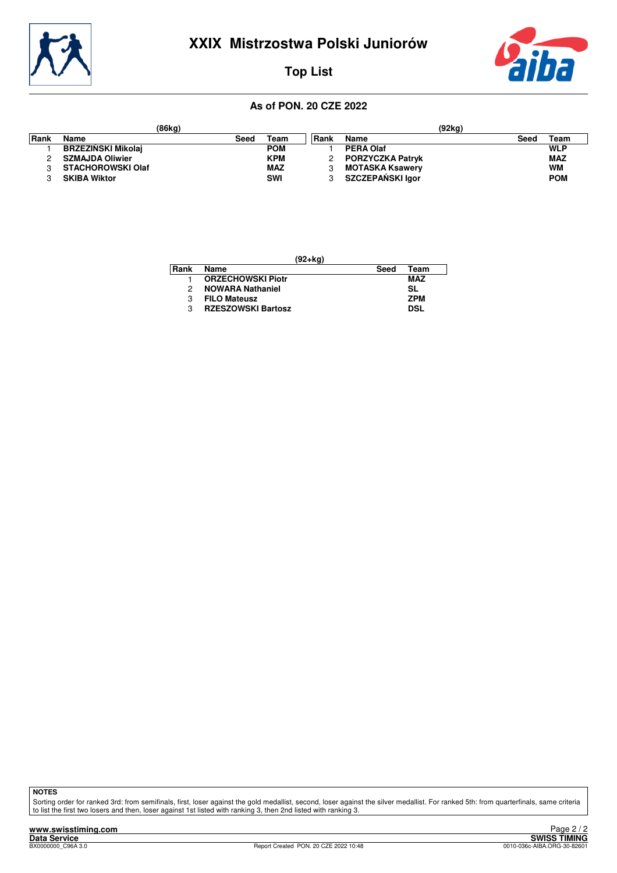



## **Top List**

#### **As of PON. 20 CZE 2022**

|      | (86kg)                    |      |            |       | (92kg)                  |              |
|------|---------------------------|------|------------|-------|-------------------------|--------------|
| Rank | Name                      | Seed | Team       | ∣Rank | Name                    | Team<br>Seec |
|      | <b>BRZEZINSKI Mikolaj</b> |      | <b>POM</b> |       | PERA Olaf               | <b>WLP</b>   |
|      | <b>SZMAJDA Oliwier</b>    |      | <b>KPM</b> |       | <b>PORZYCZKA Patryk</b> | <b>MAZ</b>   |
|      | <b>STACHOROWSKI Olaf</b>  |      | <b>MAZ</b> |       | <b>MOTASKA Ksawery</b>  | <b>WM</b>    |
|      | <b>SKIBA Wiktor</b>       |      | <b>SWI</b> |       | SZCZEPAŃSKI laor        | <b>POM</b>   |

| (92+kg) |                           |      |            |  |  |  |  |
|---------|---------------------------|------|------------|--|--|--|--|
| Rank    | Name                      | Seed | Team       |  |  |  |  |
|         | <b>ORZECHOWSKI Piotr</b>  |      | <b>MAZ</b> |  |  |  |  |
| 2       | <b>NOWARA Nathaniel</b>   |      | SL         |  |  |  |  |
| З       | <b>FILO Mateusz</b>       |      | <b>ZPM</b> |  |  |  |  |
| 3       | <b>RZESZOWSKI Bartosz</b> |      | <b>DSL</b> |  |  |  |  |

**NOTES**

Sorting order for ranked 3rd: from semifinals, first, loser against the gold medallist, second, loser against the silver medallist. For ranked 5th: from quarterfinals, same criteria<br>to list the first two losers and then, l